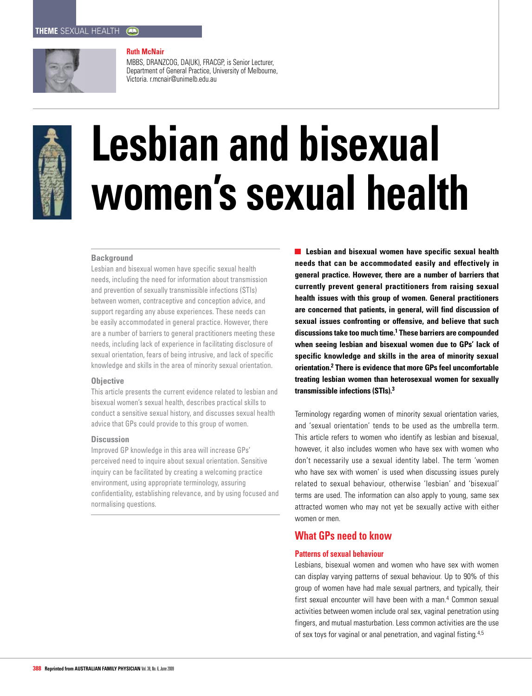### **Ruth McNair**



MBBS, DRANZCOG, DA(UK), FRACGP, is Senior Lecturer, Department of General Practice, University of Melbourne, Victoria. r.mcnair@unimelb.edu.au



# **Lesbian and bisexual women's sexual health**

#### **Background**

Lesbian and bisexual women have specific sexual health needs, including the need for information about transmission and prevention of sexually transmissible infections (STIs) between women, contraceptive and conception advice, and support regarding any abuse experiences. These needs can be easily accommodated in general practice. However, there are a number of barriers to general practitioners meeting these needs, including lack of experience in facilitating disclosure of sexual orientation, fears of being intrusive, and lack of specific knowledge and skills in the area of minority sexual orientation.

#### **Objective**

This article presents the current evidence related to lesbian and bisexual women's sexual health, describes practical skills to conduct a sensitive sexual history, and discusses sexual health advice that GPs could provide to this group of women.

#### **Discussion**

Improved GP knowledge in this area will increase GPs' perceived need to inquire about sexual orientation. Sensitive inquiry can be facilitated by creating a welcoming practice environment, using appropriate terminology, assuring confidentiality, establishing relevance, and by using focused and normalising questions.

**Lesbian and bisexual women have specific sexual health needs that can be accommodated easily and effectively in general practice. However, there are a number of barriers that currently prevent general practitioners from raising sexual health issues with this group of women. General practitioners are concerned that patients, in general, will find discussion of sexual issues confronting or offensive, and believe that such discussions take too much time.1 These barriers are compounded when seeing lesbian and bisexual women due to GPs' lack of specific knowledge and skills in the area of minority sexual**  orientation.<sup>2</sup> There is evidence that more GPs feel uncomfortable **treating lesbian women than heterosexual women for sexually transmissible infections (STIs).3**

Terminology regarding women of minority sexual orientation varies, and 'sexual orientation' tends to be used as the umbrella term. This article refers to women who identify as lesbian and bisexual, however, it also includes women who have sex with women who don't necessarily use a sexual identity label. The term 'women who have sex with women' is used when discussing issues purely related to sexual behaviour, otherwise 'lesbian' and 'bisexual' terms are used. The information can also apply to young, same sex attracted women who may not yet be sexually active with either women or men.

# **What GPs need to know**

#### **Patterns of sexual behaviour**

Lesbians, bisexual women and women who have sex with women can display varying patterns of sexual behaviour. Up to 90% of this group of women have had male sexual partners, and typically, their first sexual encounter will have been with a man.<sup>4</sup> Common sexual activities between women include oral sex, vaginal penetration using fingers, and mutual masturbation. Less common activities are the use of sex toys for vaginal or anal penetration, and vaginal fisting.<sup>4,5</sup>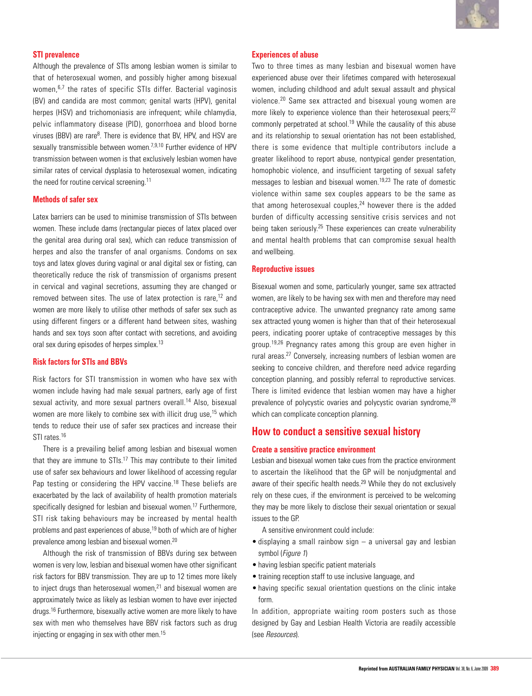#### **STI prevalence**

Although the prevalence of STIs among lesbian women is similar to that of heterosexual women, and possibly higher among bisexual women.<sup>6,7</sup> the rates of specific STIs differ. Bacterial vaginosis (BV) and candida are most common; genital warts (HPV), genital herpes (HSV) and trichomoniasis are infrequent; while chlamydia, pelvic inflammatory disease (PID), gonorrhoea and blood borne viruses (BBV) are rare<sup>8</sup>. There is evidence that BV, HPV, and HSV are sexually transmissible between women.<sup>7,9,10</sup> Further evidence of HPV transmission between women is that exclusively lesbian women have similar rates of cervical dysplasia to heterosexual women, indicating the need for routine cervical screening.<sup>11</sup>

#### **Methods of safer sex**

Latex barriers can be used to minimise transmission of STIs between women. These include dams (rectangular pieces of latex placed over the genital area during oral sex), which can reduce transmission of herpes and also the transfer of anal organisms. Condoms on sex toys and latex gloves during vaginal or anal digital sex or fisting, can theoretically reduce the risk of transmission of organisms present in cervical and vaginal secretions, assuming they are changed or removed between sites. The use of latex protection is rare,<sup>12</sup> and women are more likely to utilise other methods of safer sex such as using different fingers or a different hand between sites, washing hands and sex toys soon after contact with secretions, and avoiding oral sex during episodes of herpes simplex.13

### **Risk factors for STIs and BBVs**

Risk factors for STI transmission in women who have sex with women include having had male sexual partners, early age of first sexual activity, and more sexual partners overall.<sup>14</sup> Also, bisexual women are more likely to combine sex with illicit drug use,<sup>15</sup> which tends to reduce their use of safer sex practices and increase their STI rates.<sup>16</sup>

There is a prevailing belief among lesbian and bisexual women that they are immune to STIs.<sup>17</sup> This may contribute to their limited use of safer sex behaviours and lower likelihood of accessing regular Pap testing or considering the HPV vaccine.<sup>18</sup> These beliefs are exacerbated by the lack of availability of health promotion materials specifically designed for lesbian and bisexual women.<sup>17</sup> Furthermore, STI risk taking behaviours may be increased by mental health problems and past experiences of abuse,<sup>19</sup> both of which are of higher prevalence among lesbian and bisexual women.20

Although the risk of transmission of BBVs during sex between women is very low, lesbian and bisexual women have other significant risk factors for BBV transmission. They are up to 12 times more likely to inject drugs than heterosexual women, $21$  and bisexual women are approximately twice as likely as lesbian women to have ever injected drugs.16 Furthermore, bisexually active women are more likely to have sex with men who themselves have BBV risk factors such as drug injecting or engaging in sex with other men.<sup>15</sup>

#### **Experiences of abuse**

Two to three times as many lesbian and bisexual women have experienced abuse over their lifetimes compared with heterosexual women, including childhood and adult sexual assault and physical violence.20 Same sex attracted and bisexual young women are more likely to experience violence than their heterosexual peers;<sup>22</sup> commonly perpetrated at school.<sup>19</sup> While the causality of this abuse and its relationship to sexual orientation has not been established, there is some evidence that multiple contributors include a greater likelihood to report abuse, nontypical gender presentation, homophobic violence, and insufficient targeting of sexual safety messages to lesbian and bisexual women.19,23 The rate of domestic violence within same sex couples appears to be the same as that among heterosexual couples,<sup>24</sup> however there is the added burden of difficulty accessing sensitive crisis services and not being taken seriously.<sup>25</sup> These experiences can create vulnerability and mental health problems that can compromise sexual health and wellbeing.

# **Reproductive issues**

Bisexual women and some, particularly younger, same sex attracted women, are likely to be having sex with men and therefore may need contraceptive advice. The unwanted pregnancy rate among same sex attracted young women is higher than that of their heterosexual peers, indicating poorer uptake of contraceptive messages by this group.19,26 Pregnancy rates among this group are even higher in rural areas.<sup>27</sup> Conversely, increasing numbers of lesbian women are seeking to conceive children, and therefore need advice regarding conception planning, and possibly referral to reproductive services. There is limited evidence that lesbian women may have a higher prevalence of polycystic ovaries and polycystic ovarian syndrome,<sup>28</sup> which can complicate conception planning.

# **How to conduct a sensitive sexual history**

#### **Create a sensitive practice environment**

Lesbian and bisexual women take cues from the practice environment to ascertain the likelihood that the GP will be nonjudgmental and aware of their specific health needs.<sup>29</sup> While they do not exclusively rely on these cues, if the environment is perceived to be welcoming they may be more likely to disclose their sexual orientation or sexual issues to the GP.

A sensitive environment could include:

- $\bullet$  displaying a small rainbow sign a universal gay and lesbian symbol (Figure 1)
- having lesbian specific patient materials
- training reception staff to use inclusive language, and
- having specific sexual orientation questions on the clinic intake form.

In addition, appropriate waiting room posters such as those designed by Gay and Lesbian Health Victoria are readily accessible (see Resources).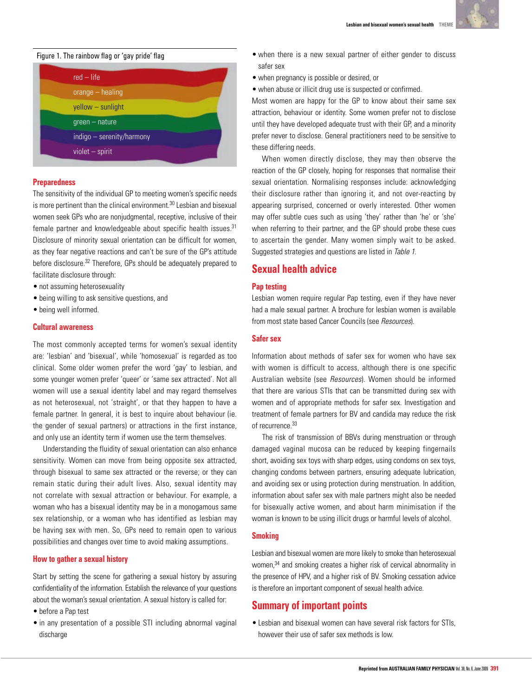

#### Figure 1. The rainbow flag or 'gay pride' flag



#### **Preparedness**

The sensitivity of the individual GP to meeting women's specific needs is more pertinent than the clinical environment.<sup>30</sup> Lesbian and bisexual women seek GPs who are nonjudgmental, receptive, inclusive of their female partner and knowledgeable about specific health issues. $31$ Disclosure of minority sexual orientation can be difficult for women, as they fear negative reactions and can't be sure of the GP's attitude before disclosure.32 Therefore, GPs should be adequately prepared to facilitate disclosure through:

- not assuming heterosexuality
- being willing to ask sensitive questions, and
- being well informed.

#### **Cultural awareness**

The most commonly accepted terms for women's sexual identity are: 'lesbian' and 'bisexual', while 'homosexual' is regarded as too clinical. Some older women prefer the word 'gay' to lesbian, and some younger women prefer 'queer' or 'same sex attracted'. Not all women will use a sexual identity label and may regard themselves as not heterosexual, not 'straight', or that they happen to have a female partner. In general, it is best to inquire about behaviour (ie. the gender of sexual partners) or attractions in the first instance, and only use an identity term if women use the term themselves.

Understanding the fluidity of sexual orientation can also enhance sensitivity. Women can move from being opposite sex attracted, through bisexual to same sex attracted or the reverse; or they can remain static during their adult lives. Also, sexual identity may not correlate with sexual attraction or behaviour. For example, a woman who has a bisexual identity may be in a monogamous same sex relationship, or a woman who has identified as lesbian may be having sex with men. So, GPs need to remain open to various possibilities and changes over time to avoid making assumptions.

#### **How to gather a sexual history**

Start by setting the scene for gathering a sexual history by assuring confidentiality of the information. Establish the relevance of your questions about the woman's sexual orientation. A sexual history is called for:

- • before a Pap test
- in any presentation of a possible STI including abnormal vaginal discharge
- when there is a new sexual partner of either gender to discuss safer sex
- when pregnancy is possible or desired, or
- when abuse or illicit drug use is suspected or confirmed.

Most women are happy for the GP to know about their same sex attraction, behaviour or identity. Some women prefer not to disclose until they have developed adequate trust with their GP, and a minority prefer never to disclose. General practitioners need to be sensitive to these differing needs.

When women directly disclose, they may then observe the reaction of the GP closely, hoping for responses that normalise their sexual orientation. Normalising responses include: acknowledging their disclosure rather than ignoring it, and not over-reacting by appearing surprised, concerned or overly interested. Other women may offer subtle cues such as using 'they' rather than 'he' or 'she' when referring to their partner, and the GP should probe these cues to ascertain the gender. Many women simply wait to be asked. Suggested strategies and questions are listed in Table 1.

# **Sexual health advice**

#### **Pap testing**

Lesbian women require regular Pap testing, even if they have never had a male sexual partner. A brochure for lesbian women is available from most state based Cancer Councils (see Resources).

# **Safer sex**

Information about methods of safer sex for women who have sex with women is difficult to access, although there is one specific Australian website (see Resources). Women should be informed that there are various STIs that can be transmitted during sex with women and of appropriate methods for safer sex. Investigation and treatment of female partners for BV and candida may reduce the risk of recurrence.33

The risk of transmission of BBVs during menstruation or through damaged vaginal mucosa can be reduced by keeping fingernails short, avoiding sex toys with sharp edges, using condoms on sex toys, changing condoms between partners, ensuring adequate lubrication, and avoiding sex or using protection during menstruation. In addition, information about safer sex with male partners might also be needed for bisexually active women, and about harm minimisation if the woman is known to be using illicit drugs or harmful levels of alcohol.

# **Smoking**

Lesbian and bisexual women are more likely to smoke than heterosexual women,<sup>34</sup> and smoking creates a higher risk of cervical abnormality in the presence of HPV, and a higher risk of BV. Smoking cessation advice is therefore an important component of sexual health advice.

# **Summary of important points**

• Lesbian and bisexual women can have several risk factors for STIs, however their use of safer sex methods is low.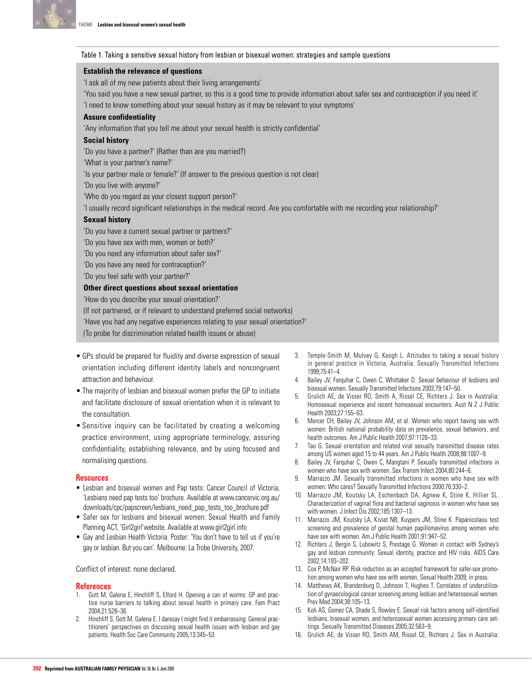

Table 1. Taking a sensitive sexual history from lesbian or bisexual women: strategies and sample questions

#### **Establish the relevance of questions**

'I ask all of my new patients about their living arrangements'

'You said you have a new sexual partner, so this is a good time to provide information about safer sex and contraception if you need it' 'I need to know something about your sexual history as it may be relevant to your symptoms'

#### **Assure confidentiality**

'Any information that you tell me about your sexual health is strictly confidential'

#### **Social history**

'Do you have a partner?' (Rather than are you married?)

'What is your partner's name?'

'Is your partner male or female?' (If answer to the previous question is not clear)

'Do you live with anyone?'

'Who do you regard as your closest support person?'

'I usually record significant relationships in the medical record. Are you comfortable with me recording your relationship?'

#### **Sexual history**

'Do you have a current sexual partner or partners?'

'Do you have sex with men, women or both?'

'Do you need any information about safer sex?'

'Do you have any need for contraception?'

'Do you feel safe with your partner?'

#### **Other direct questions about sexual orientation**

'How do you describe your sexual orientation?'

(If not partnered, or if relevant to understand preferred social networks)

'Have you had any negative experiences relating to your sexual orientation?'

(To probe for discrimination related health issues or abuse)

- GPs should be prepared for fluidity and diverse expression of sexual orientation including different identity labels and noncongruent attraction and behaviour.
- The majority of lesbian and bisexual women prefer the GP to initiate and facilitate disclosure of sexual orientation when it is relevant to the consultation.
- Sensitive inquiry can be facilitated by creating a welcoming practice environment, using appropriate terminology, assuring confidentiality, establishing relevance, and by using focused and normalising questions.

#### **Resources**

- Lesbian and bisexual women and Pap tests: Cancer Council of Victoria, 'Lesbians need pap tests too' brochure. Available at www.cancervic.org.au/ downloads/cpc/papscreen/lesbians\_need\_pap\_tests\_too\_brochure.pdf
- Safer sex for lesbians and bisexual women: Sexual Health and Family Planning ACT, 'Girl2girl'website. Available at www.girl2girl.info
- Gay and Lesbian Health Victoria. Poster: 'You don't have to tell us if you're gay or lesbian. But you can'. Melbourne: La Trobe University, 2007.

#### Conflict of interest: none declared.

#### **References**

- 1. Gott M, Galena E, Hinchliff S, Elford H. Opening a can of worms: GP and practice nurse barriers to talking about sexual health in primary care. Fam Pract 2004;21:528–36.
- 2. Hinchliff S, Gott M, Galena E. I daresay I might find it embarrassing: General practitioners' perspectives on discussing sexual health issues with lesbian and gay patients. Health Soc Care Community 2005;13:345–53.
- 3. Temple-Smith M, Mulvey G, Keogh L. Attitudes to taking a sexual history in general practice in Victoria, Australia. Sexually Transmitted Infections 1999;75:41–4.
- 4. Bailey JV, Farquhar C, Owen C, Whittaker D. Sexual behaviour of lesbians and bisexual women. Sexually Transmitted Infections 2003;79:147–50.
- 5. Grulich AE, de Visser RO, Smith A, Rissel CE, Richters J. Sex in Australia: Homosexual experience and recent homosexual encounters. Aust N Z J Public Health 2003;27:155–63.
- 6. Mercer CH, Bailey JV, Johnson AM, et al. Women who report having sex with women: British national probability data on prevalence, sexual behaviors, and health outcomes. Am J Public Health 2007;97:1126–33.
- 7. Tao G. Sexual orientation and related viral sexually transmitted disease rates among US women aged 15 to 44 years. Am J Public Health 2008;98:1007–9.
- Bailey JV, Farquhar C, Owen C, Mangtani P. Sexually transmitted infections in women who have sex with women. Sex Transm Infect 2004;80:244–6.
- 9. Marrazzo JM. Sexually transmitted infections in women who have sex with women: Who cares? Sexually Transmitted Infections 2000;76:330–2.
- 10. Marrazzo JM, Koutsky LA, Eschenbach DA, Agnew K, Stine K, Hillier SL. Characterization of vaginal flora and bacterial vaginosis in women who have sex with women. J Infect Dis 2002;185:1307–13.
- 11. Marrazzo JM, Koutsky LA, Kiviat NB, Kuypers JM, Stine K. Papanicolaou test screening and prevalence of genital human papillomavirus among women who have sex with women. Am J Public Health 2001;91:947–52.
- 12. Richters J, Bergin S, Lubowitz S, Prestage G. Women in contact with Sydney's gay and lesbian community: Sexual identity, practice and HIV risks. AIDS Care 2002;14:193–202.
- 13. Cox P, McNair RP. Risk reduction as an accepted framework for safer-sex promotion among women who have sex with women. Sexual Health 2009; in press.
- 14. Matthews AK, Brandenburg D, Johnson T, Hughes T. Correlates of underutilization of gynaecological cancer screening among lesbian and heterosexual women. Prev Med 2004;38:105–13.
- 15. Koh AS, Gomez CA, Shade S, Rowley E. Sexual risk factors among self-identified lesbians, bisexual women, and heterosexual women accessing primary care settings. Sexually Transmitted Diseases 2005;32:563–9.
- 16. Grulich AE, de Visser RO, Smith AM, Rissel CE, Richters J. Sex in Australia: